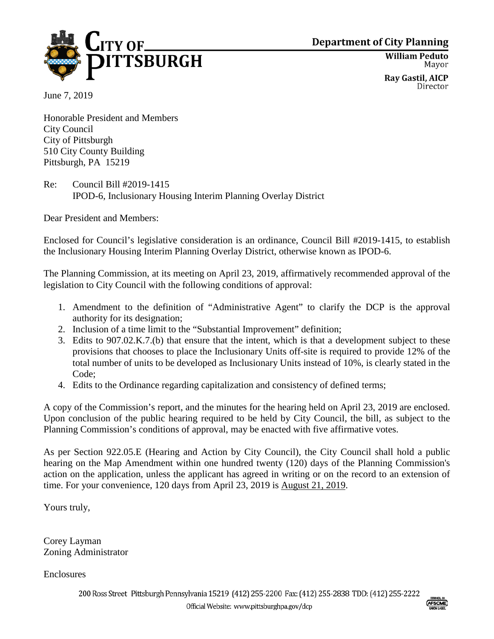

**Department of City Planning** 

**William Peduto** Mayor

**Ray Gastil, AICP** Director

June 7, 2019

Honorable President and Members City Council City of Pittsburgh 510 City County Building Pittsburgh, PA 15219

Re: Council Bill #2019-1415 IPOD-6, Inclusionary Housing Interim Planning Overlay District

Dear President and Members:

Enclosed for Council's legislative consideration is an ordinance, Council Bill #2019-1415, to establish the Inclusionary Housing Interim Planning Overlay District, otherwise known as IPOD-6.

The Planning Commission, at its meeting on April 23, 2019, affirmatively recommended approval of the legislation to City Council with the following conditions of approval:

- 1. Amendment to the definition of "Administrative Agent" to clarify the DCP is the approval authority for its designation;
- 2. Inclusion of a time limit to the "Substantial Improvement" definition;
- 3. Edits to 907.02.K.7.(b) that ensure that the intent, which is that a development subject to these provisions that chooses to place the Inclusionary Units off-site is required to provide 12% of the total number of units to be developed as Inclusionary Units instead of 10%, is clearly stated in the Code;
- 4. Edits to the Ordinance regarding capitalization and consistency of defined terms;

A copy of the Commission's report, and the minutes for the hearing held on April 23, 2019 are enclosed. Upon conclusion of the public hearing required to be held by City Council, the bill, as subject to the Planning Commission's conditions of approval, may be enacted with five affirmative votes.

As per Section 922.05.E (Hearing and Action by City Council), the City Council shall hold a public hearing on the Map Amendment within one hundred twenty (120) days of the Planning Commission's action on the application, unless the applicant has agreed in writing or on the record to an extension of time. For your convenience, 120 days from April 23, 2019 is August 21, 2019.

Yours truly,

Corey Layman Zoning Administrator

**Enclosures**